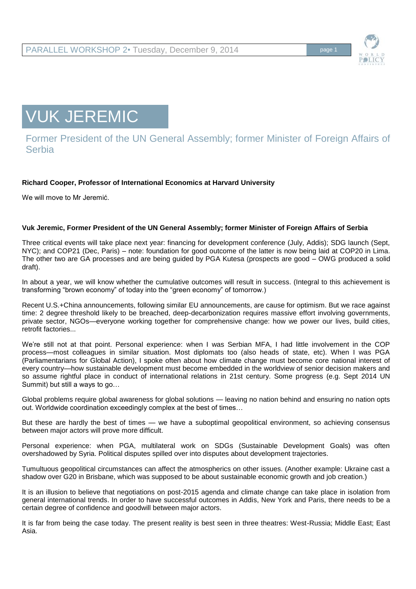

VUK JEREMIC

Former President of the UN General Assembly; former Minister of Foreign Affairs of **Serbia** 

# **Richard Cooper, Professor of International Economics at Harvard University**

We will move to Mr Jeremić.

## **Vuk Jeremic, Former President of the UN General Assembly; former Minister of Foreign Affairs of Serbia**

Three critical events will take place next year: financing for development conference (July, Addis); SDG launch (Sept, NYC); and COP21 (Dec, Paris) – note: foundation for good outcome of the latter is now being laid at COP20 in Lima. The other two are GA processes and are being guided by PGA Kutesa (prospects are good – OWG produced a solid draft).

In about a year, we will know whether the cumulative outcomes will result in success. (Integral to this achievement is transforming "brown economy" of today into the "green economy" of tomorrow.)

Recent U.S.+China announcements, following similar EU announcements, are cause for optimism. But we race against time: 2 degree threshold likely to be breached, deep-decarbonization requires massive effort involving governments, private sector, NGOs—everyone working together for comprehensive change: how we power our lives, build cities, retrofit factories...

We're still not at that point. Personal experience: when I was Serbian MFA, I had little involvement in the COP process—most colleagues in similar situation. Most diplomats too (also heads of state, etc). When I was PGA (Parliamentarians for Global Action), I spoke often about how climate change must become core national interest of every country—how sustainable development must become embedded in the worldview of senior decision makers and so assume rightful place in conduct of international relations in 21st century. Some progress (e.g. Sept 2014 UN Summit) but still a ways to go…

Global problems require global awareness for global solutions — leaving no nation behind and ensuring no nation opts out. Worldwide coordination exceedingly complex at the best of times…

But these are hardly the best of times — we have a suboptimal geopolitical environment, so achieving consensus between major actors will prove more difficult.

Personal experience: when PGA, multilateral work on SDGs (Sustainable Development Goals) was often overshadowed by Syria. Political disputes spilled over into disputes about development trajectories.

Tumultuous geopolitical circumstances can affect the atmospherics on other issues. (Another example: Ukraine cast a shadow over G20 in Brisbane, which was supposed to be about sustainable economic growth and job creation.)

It is an illusion to believe that negotiations on post-2015 agenda and climate change can take place in isolation from general international trends. In order to have successful outcomes in Addis, New York and Paris, there needs to be a certain degree of confidence and goodwill between major actors.

It is far from being the case today. The present reality is best seen in three theatres: West-Russia; Middle East; East Asia.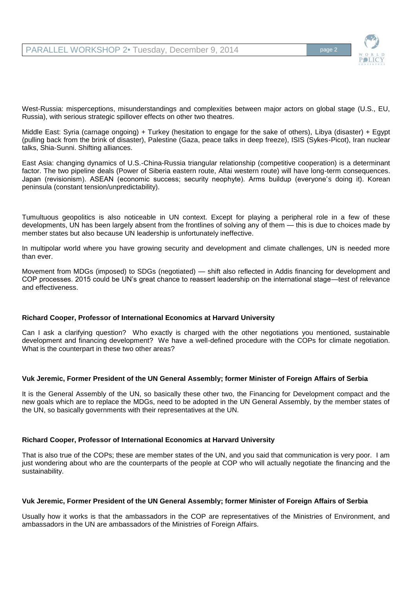

West-Russia: misperceptions, misunderstandings and complexities between major actors on global stage (U.S., EU, Russia), with serious strategic spillover effects on other two theatres.

Middle East: Syria (carnage ongoing) + Turkey (hesitation to engage for the sake of others), Libya (disaster) + Egypt (pulling back from the brink of disaster), Palestine (Gaza, peace talks in deep freeze), ISIS (Sykes-Picot), Iran nuclear talks, Shia-Sunni. Shifting alliances.

East Asia: changing dynamics of U.S.-China-Russia triangular relationship (competitive cooperation) is a determinant factor. The two pipeline deals (Power of Siberia eastern route, Altai western route) will have long-term consequences. Japan (revisionism). ASEAN (economic success; security neophyte). Arms buildup (everyone's doing it). Korean peninsula (constant tension/unpredictability).

Tumultuous geopolitics is also noticeable in UN context. Except for playing a peripheral role in a few of these developments, UN has been largely absent from the frontlines of solving any of them — this is due to choices made by member states but also because UN leadership is unfortunately ineffective.

In multipolar world where you have growing security and development and climate challenges, UN is needed more than ever.

Movement from MDGs (imposed) to SDGs (negotiated) — shift also reflected in Addis financing for development and COP processes. 2015 could be UN's great chance to reassert leadership on the international stage—test of relevance and effectiveness.

## **Richard Cooper, Professor of International Economics at Harvard University**

Can I ask a clarifying question? Who exactly is charged with the other negotiations you mentioned, sustainable development and financing development? We have a well-defined procedure with the COPs for climate negotiation. What is the counterpart in these two other areas?

### **Vuk Jeremic, Former President of the UN General Assembly; former Minister of Foreign Affairs of Serbia**

It is the General Assembly of the UN, so basically these other two, the Financing for Development compact and the new goals which are to replace the MDGs, need to be adopted in the UN General Assembly, by the member states of the UN, so basically governments with their representatives at the UN.

### **Richard Cooper, Professor of International Economics at Harvard University**

That is also true of the COPs; these are member states of the UN, and you said that communication is very poor. I am just wondering about who are the counterparts of the people at COP who will actually negotiate the financing and the sustainability.

### **Vuk Jeremic, Former President of the UN General Assembly; former Minister of Foreign Affairs of Serbia**

Usually how it works is that the ambassadors in the COP are representatives of the Ministries of Environment, and ambassadors in the UN are ambassadors of the Ministries of Foreign Affairs.